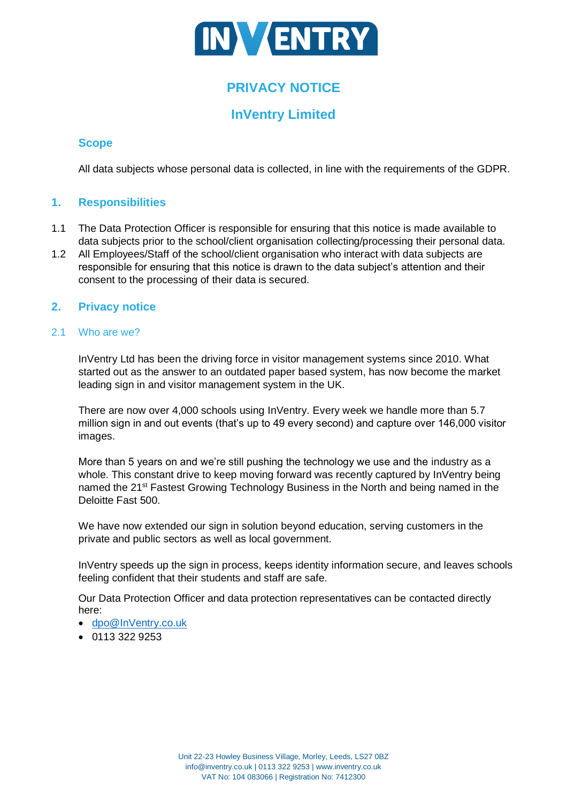

# **PRIVACY NOTICE**

# **InVentry Limited**

# **Scope**

All data subjects whose personal data is collected, in line with the requirements of the GDPR.

# **1. Responsibilities**

- 1.1 The Data Protection Officer is responsible for ensuring that this notice is made available to data subjects prior to the school/client organisation collecting/processing their personal data.
- 1.2 All Employees/Staff of the school/client organisation who interact with data subjects are responsible for ensuring that this notice is drawn to the data subject's attention and their consent to the processing of their data is secured.

# **2. Privacy notice**

# 2.1 Who are we?

InVentry Ltd has been the driving force in visitor management systems since 2010. What started out as the answer to an outdated paper based system, has now become the market leading sign in and visitor management system in the UK.

There are now over 4,000 schools using InVentry. Every week we handle more than 5.7 million sign in and out events (that's up to 49 every second) and capture over 146,000 visitor images.

More than 5 years on and we're still pushing the technology we use and the industry as a whole. This constant drive to keep moving forward was recently captured by InVentry being named the 21<sup>st</sup> Fastest Growing Technology Business in the North and being named in the Deloitte Fast 500.

We have now extended our sign in solution beyond education, serving customers in the private and public sectors as well as local government.

InVentry speeds up the sign in process, keeps identity information secure, and leaves schools feeling confident that their students and staff are safe.

Our Data Protection Officer and data protection representatives can be contacted directly here:

- [dpo@InVentry.co.uk](mailto:dpo@InVentry.co.uk)
- 0113 322 9253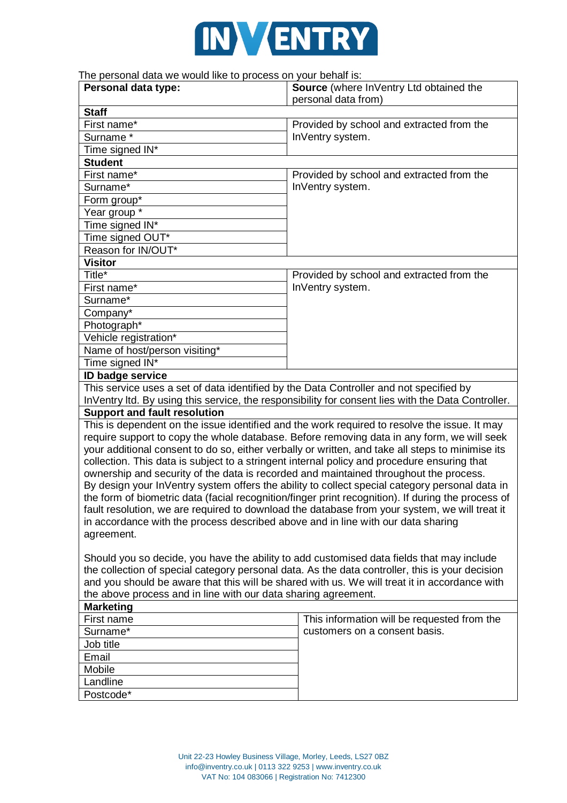

# The personal data we would like to process on your behalf is:

| The personal data we would like to process on your benams.<br>Personal data type:                  | Source (where InVentry Ltd obtained the                                                            |  |
|----------------------------------------------------------------------------------------------------|----------------------------------------------------------------------------------------------------|--|
|                                                                                                    | personal data from)                                                                                |  |
| <b>Staff</b>                                                                                       |                                                                                                    |  |
| First name*<br>Surname*                                                                            | Provided by school and extracted from the                                                          |  |
|                                                                                                    | InVentry system.                                                                                   |  |
| Time signed IN*                                                                                    |                                                                                                    |  |
| <b>Student</b><br>First name*                                                                      |                                                                                                    |  |
| Surname*                                                                                           | Provided by school and extracted from the<br>InVentry system.                                      |  |
| Form group*                                                                                        |                                                                                                    |  |
| Year group *                                                                                       |                                                                                                    |  |
| Time signed IN*                                                                                    |                                                                                                    |  |
| Time signed OUT*                                                                                   |                                                                                                    |  |
| Reason for IN/OUT*                                                                                 |                                                                                                    |  |
| <b>Visitor</b>                                                                                     |                                                                                                    |  |
| Title*                                                                                             | Provided by school and extracted from the                                                          |  |
| First name*                                                                                        | InVentry system.                                                                                   |  |
| Surname*                                                                                           |                                                                                                    |  |
| Company*                                                                                           |                                                                                                    |  |
| Photograph*                                                                                        |                                                                                                    |  |
| Vehicle registration*                                                                              |                                                                                                    |  |
| Name of host/person visiting*                                                                      |                                                                                                    |  |
| Time signed IN*                                                                                    |                                                                                                    |  |
| <b>ID badge service</b>                                                                            |                                                                                                    |  |
| This service uses a set of data identified by the Data Controller and not specified by             |                                                                                                    |  |
|                                                                                                    | InVentry Itd. By using this service, the responsibility for consent lies with the Data Controller. |  |
| <b>Support and fault resolution</b>                                                                |                                                                                                    |  |
|                                                                                                    | This is dependent on the issue identified and the work required to resolve the issue. It may       |  |
|                                                                                                    | require support to copy the whole database. Before removing data in any form, we will seek         |  |
|                                                                                                    | your additional consent to do so, either verbally or written, and take all steps to minimise its   |  |
| collection. This data is subject to a stringent internal policy and procedure ensuring that        |                                                                                                    |  |
| ownership and security of the data is recorded and maintained throughout the process.              |                                                                                                    |  |
|                                                                                                    | By design your InVentry system offers the ability to collect special category personal data in     |  |
| the form of biometric data (facial recognition/finger print recognition). If during the process of |                                                                                                    |  |
| fault resolution, we are required to download the database from your system, we will treat it      |                                                                                                    |  |
| in accordance with the process described above and in line with our data sharing                   |                                                                                                    |  |
| agreement.                                                                                         |                                                                                                    |  |
|                                                                                                    |                                                                                                    |  |
|                                                                                                    | Should you so decide, you have the ability to add customised data fields that may include          |  |
| the collection of special category personal data. As the data controller, this is your decision    |                                                                                                    |  |
|                                                                                                    | and you should be aware that this will be shared with us. We will treat it in accordance with      |  |
| the above process and in line with our data sharing agreement.                                     |                                                                                                    |  |
| <b>Marketing</b>                                                                                   |                                                                                                    |  |
| First name                                                                                         | This information will be requested from the                                                        |  |
| Surname*                                                                                           | customers on a consent basis.                                                                      |  |
| Job title                                                                                          |                                                                                                    |  |
| Email                                                                                              |                                                                                                    |  |
| Mobile                                                                                             |                                                                                                    |  |
| Landline                                                                                           |                                                                                                    |  |
| Postcode*                                                                                          |                                                                                                    |  |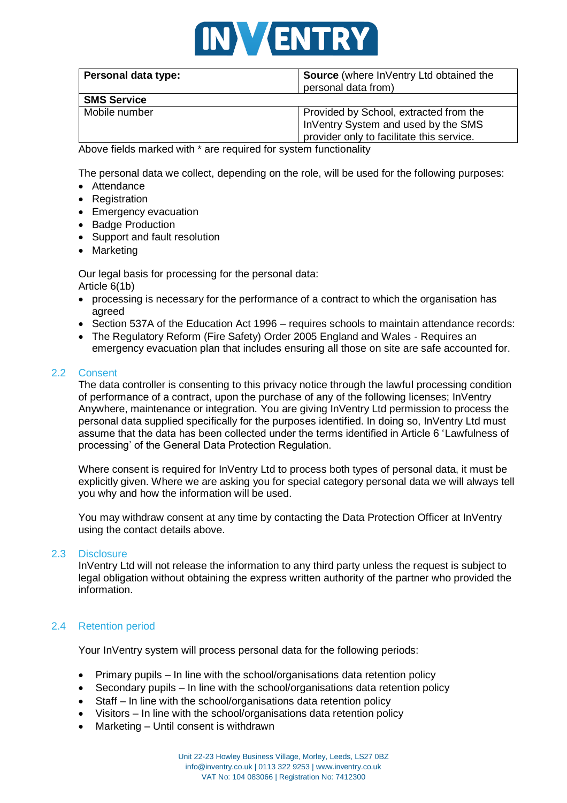

| Personal data type: | Source (where InVentry Ltd obtained the<br>personal data from)                                                             |  |
|---------------------|----------------------------------------------------------------------------------------------------------------------------|--|
| <b>SMS Service</b>  |                                                                                                                            |  |
| Mobile number       | Provided by School, extracted from the<br>InVentry System and used by the SMS<br>provider only to facilitate this service. |  |

Above fields marked with \* are required for system functionality

The personal data we collect, depending on the role, will be used for the following purposes:

- Attendance
- Registration
- Emergency evacuation
- Badge Production
- Support and fault resolution
- Marketing

Our legal basis for processing for the personal data: Article 6(1b)

- processing is necessary for the performance of a contract to which the organisation has agreed
- Section 537A of the Education Act 1996 requires schools to maintain attendance records:
- The Regulatory Reform (Fire Safety) Order 2005 England and Wales Requires an emergency evacuation plan that includes ensuring all those on site are safe accounted for.

#### 2.2 Consent

The data controller is consenting to this privacy notice through the lawful processing condition of performance of a contract, upon the purchase of any of the following licenses; InVentry Anywhere, maintenance or integration. You are giving InVentry Ltd permission to process the personal data supplied specifically for the purposes identified. In doing so, InVentry Ltd must assume that the data has been collected under the terms identified in Article 6 'Lawfulness of processing' of the General Data Protection Regulation.

Where consent is required for InVentry Ltd to process both types of personal data, it must be explicitly given. Where we are asking you for special category personal data we will always tell you why and how the information will be used.

You may withdraw consent at any time by contacting the Data Protection Officer at InVentry using the contact details above.

#### 2.3 Disclosure

InVentry Ltd will not release the information to any third party unless the request is subject to legal obligation without obtaining the express written authority of the partner who provided the information.

## 2.4 Retention period

Your InVentry system will process personal data for the following periods:

- Primary pupils In line with the school/organisations data retention policy
- Secondary pupils In line with the school/organisations data retention policy
- Staff In line with the school/organisations data retention policy
- Visitors In line with the school/organisations data retention policy
- Marketing Until consent is withdrawn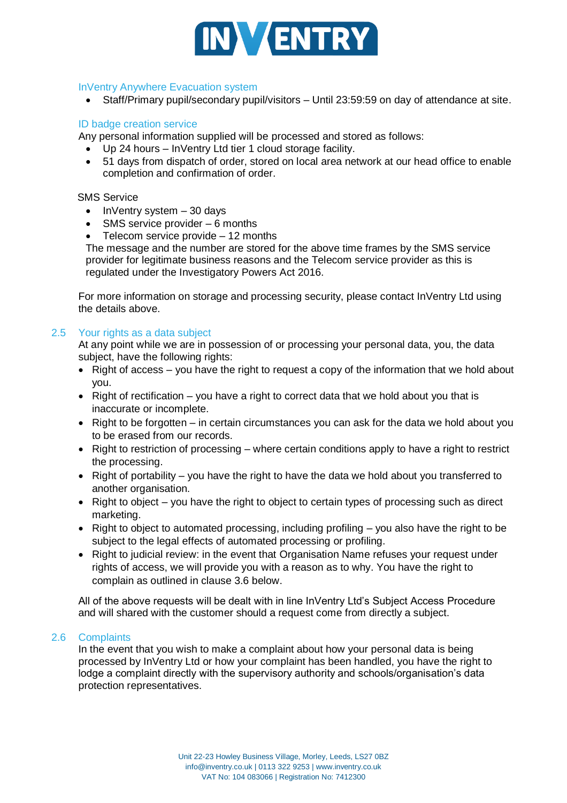

### InVentry Anywhere Evacuation system

• Staff/Primary pupil/secondary pupil/visitors – Until 23:59:59 on day of attendance at site.

## ID badge creation service

Any personal information supplied will be processed and stored as follows:

- Up 24 hours InVentry Ltd tier 1 cloud storage facility.
- 51 days from dispatch of order, stored on local area network at our head office to enable completion and confirmation of order.

### SMS Service

- $\bullet$  InVentry system  $-30$  days
- SMS service provider 6 months
- Telecom service provide  $-12$  months

The message and the number are stored for the above time frames by the SMS service provider for legitimate business reasons and the Telecom service provider as this is regulated under the Investigatory Powers Act 2016.

For more information on storage and processing security, please contact InVentry Ltd using the details above.

### 2.5 Your rights as a data subject

At any point while we are in possession of or processing your personal data, you, the data subject, have the following rights:

- Right of access you have the right to request a copy of the information that we hold about you.
- Right of rectification you have a right to correct data that we hold about you that is inaccurate or incomplete.
- Right to be forgotten in certain circumstances you can ask for the data we hold about you to be erased from our records.
- Right to restriction of processing where certain conditions apply to have a right to restrict the processing.
- Right of portability you have the right to have the data we hold about you transferred to another organisation.
- Right to object you have the right to object to certain types of processing such as direct marketing.
- Right to object to automated processing, including profiling you also have the right to be subject to the legal effects of automated processing or profiling.
- Right to judicial review: in the event that Organisation Name refuses your request under rights of access, we will provide you with a reason as to why. You have the right to complain as outlined in clause 3.6 below.

All of the above requests will be dealt with in line InVentry Ltd's Subject Access Procedure and will shared with the customer should a request come from directly a subject.

#### 2.6 Complaints

In the event that you wish to make a complaint about how your personal data is being processed by InVentry Ltd or how your complaint has been handled, you have the right to lodge a complaint directly with the supervisory authority and schools/organisation's data protection representatives.